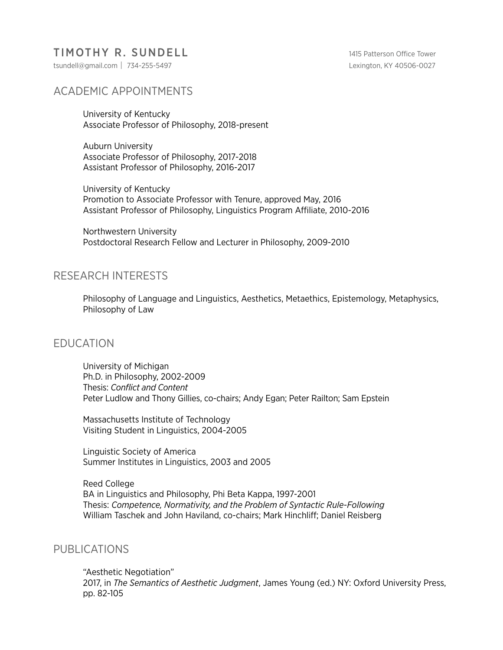## TIMOTHY R. SUNDELL 1415 Patterson Office Tower

tsundell@gmail.com| 734-255-5497 Lexington, KY 40506-0027

# ACADEMIC APPOINTMENTS

University of Kentucky Associate Professor of Philosophy, 2018-present

 Auburn University Associate Professor of Philosophy, 2017-2018 Assistant Professor of Philosophy, 2016-2017

 University of Kentucky Promotion to Associate Professor with Tenure, approved May, 2016 Assistant Professor of Philosophy, Linguistics Program Affiliate, 2010-2016

 Northwestern University Postdoctoral Research Fellow and Lecturer in Philosophy, 2009-2010

### RESEARCH INTERESTS

 Philosophy of Language and Linguistics, Aesthetics, Metaethics, Epistemology, Metaphysics, Philosophy of Law

#### EDUCATION

 University of Michigan Ph.D. in Philosophy, 2002-2009 Thesis: *Conflict and Content* Peter Ludlow and Thony Gillies, co-chairs; Andy Egan; Peter Railton; Sam Epstein

 Massachusetts Institute of Technology Visiting Student in Linguistics, 2004-2005

 Linguistic Society of America Summer Institutes in Linguistics, 2003 and 2005

 Reed College BA in Linguistics and Philosophy, Phi Beta Kappa, 1997-2001 Thesis: *Competence, Normativity, and the Problem of Syntactic Rule-Following* William Taschek and John Haviland, co-chairs; Mark Hinchliff; Daniel Reisberg

#### PUBLICATIONS

 "Aesthetic Negotiation" 2017, in *The Semantics of Aesthetic Judgment*, James Young (ed.) NY: Oxford University Press, pp. 82-105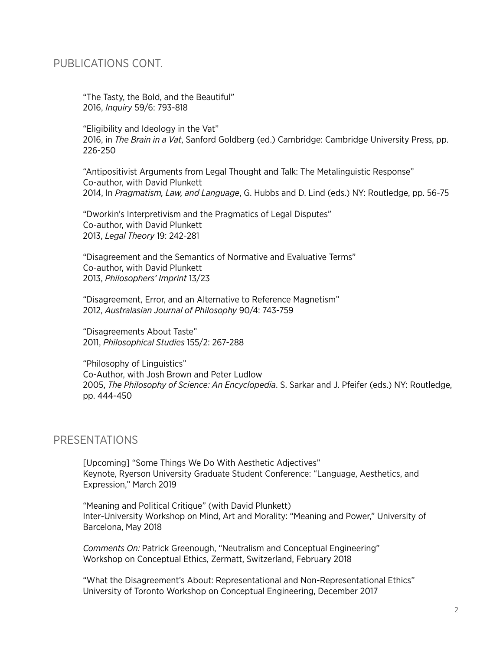### PUBLICATIONS CONT.

 "The Tasty, the Bold, and the Beautiful" 2016, *Inquiry* 59/6: 793-818

"Eligibility and Ideology in the Vat" 2016, in *The Brain in a Vat*, Sanford Goldberg (ed.) Cambridge: Cambridge University Press, pp. 226-250

 "Antipositivist Arguments from Legal Thought and Talk: The Metalinguistic Response" Co-author, with David Plunkett 2014, In *Pragmatism, Law, and Language*, G. Hubbs and D. Lind (eds.) NY: Routledge, pp. 56-75

 "Dworkin's Interpretivism and the Pragmatics of Legal Disputes" Co-author, with David Plunkett 2013, *Legal Theory* 19: 242-281

"Disagreement and the Semantics of Normative and Evaluative Terms" Co-author, with David Plunkett 2013, *Philosophers' Imprint* 13/23

 "Disagreement, Error, and an Alternative to Reference Magnetism" 2012, *Australasian Journal of Philosophy* 90/4: 743-759

 "Disagreements About Taste" 2011, *Philosophical Studies* 155/2: 267-288

 "Philosophy of Linguistics" Co-Author, with Josh Brown and Peter Ludlow 2005, *The Philosophy of Science: An Encyclopedia*. S. Sarkar and J. Pfeifer (eds.) NY: Routledge, pp. 444-450

#### **PRESENTATIONS**

 [Upcoming] "Some Things We Do With Aesthetic Adjectives" Keynote, Ryerson University Graduate Student Conference: "Language, Aesthetics, and Expression," March 2019

 "Meaning and Political Critique" (with David Plunkett) Inter-University Workshop on Mind, Art and Morality: "Meaning and Power," University of Barcelona, May 2018

*Comments On:* Patrick Greenough, "Neutralism and Conceptual Engineering" Workshop on Conceptual Ethics, Zermatt, Switzerland, February 2018

 "What the Disagreement's About: Representational and Non-Representational Ethics" University of Toronto Workshop on Conceptual Engineering, December 2017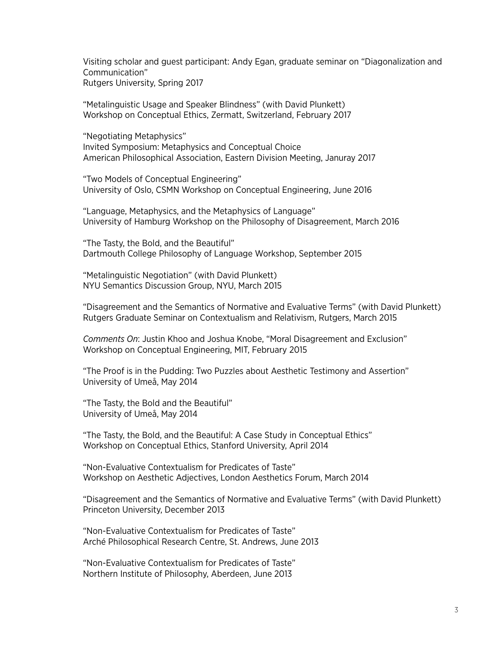Visiting scholar and guest participant: Andy Egan, graduate seminar on "Diagonalization and Communication" Rutgers University, Spring 2017

 "Metalinguistic Usage and Speaker Blindness" (with David Plunkett) Workshop on Conceptual Ethics, Zermatt, Switzerland, February 2017

 "Negotiating Metaphysics" Invited Symposium: Metaphysics and Conceptual Choice American Philosophical Association, Eastern Division Meeting, Januray 2017

 "Two Models of Conceptual Engineering" University of Oslo, CSMN Workshop on Conceptual Engineering, June 2016

 "Language, Metaphysics, and the Metaphysics of Language" University of Hamburg Workshop on the Philosophy of Disagreement, March 2016

 "The Tasty, the Bold, and the Beautiful" Dartmouth College Philosophy of Language Workshop, September 2015

 "Metalinguistic Negotiation" (with David Plunkett) NYU Semantics Discussion Group, NYU, March 2015

 "Disagreement and the Semantics of Normative and Evaluative Terms" (with David Plunkett) Rutgers Graduate Seminar on Contextualism and Relativism, Rutgers, March 2015

*Comments On*: Justin Khoo and Joshua Knobe, "Moral Disagreement and Exclusion" Workshop on Conceptual Engineering, MIT, February 2015

 "The Proof is in the Pudding: Two Puzzles about Aesthetic Testimony and Assertion" University of Umeå, May 2014

 "The Tasty, the Bold and the Beautiful" University of Umeå, May 2014

 "The Tasty, the Bold, and the Beautiful: A Case Study in Conceptual Ethics" Workshop on Conceptual Ethics, Stanford University, April 2014

 "Non-Evaluative Contextualism for Predicates of Taste" Workshop on Aesthetic Adjectives, London Aesthetics Forum, March 2014

 "Disagreement and the Semantics of Normative and Evaluative Terms" (with David Plunkett) Princeton University, December 2013

 "Non-Evaluative Contextualism for Predicates of Taste" Arché Philosophical Research Centre, St. Andrews, June 2013

"Non-Evaluative Contextualism for Predicates of Taste" Northern Institute of Philosophy, Aberdeen, June 2013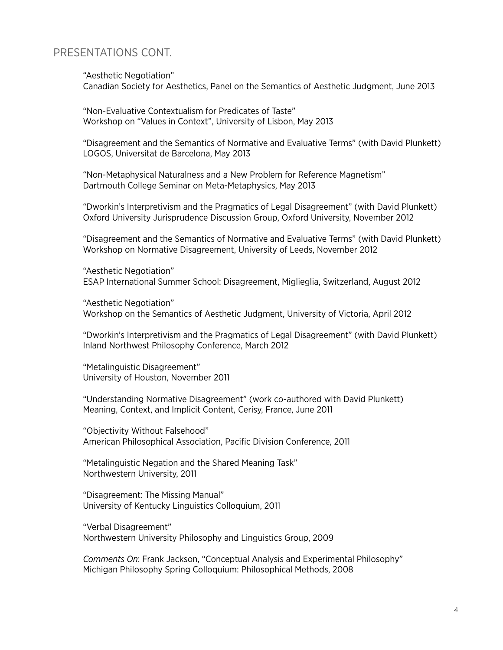### PRESENTATIONS CONT.

"Aesthetic Negotiation"

Canadian Society for Aesthetics, Panel on the Semantics of Aesthetic Judgment, June 2013

 "Non-Evaluative Contextualism for Predicates of Taste" Workshop on "Values in Context", University of Lisbon, May 2013

 "Disagreement and the Semantics of Normative and Evaluative Terms" (with David Plunkett) LOGOS, Universitat de Barcelona, May 2013

 "Non-Metaphysical Naturalness and a New Problem for Reference Magnetism" Dartmouth College Seminar on Meta-Metaphysics, May 2013

 "Dworkin's Interpretivism and the Pragmatics of Legal Disagreement" (with David Plunkett) Oxford University Jurisprudence Discussion Group, Oxford University, November 2012

 "Disagreement and the Semantics of Normative and Evaluative Terms" (with David Plunkett) Workshop on Normative Disagreement, University of Leeds, November 2012

 "Aesthetic Negotiation" ESAP International Summer School: Disagreement, Miglieglia, Switzerland, August 2012

"Aesthetic Negotiation" Workshop on the Semantics of Aesthetic Judgment, University of Victoria, April 2012

"Dworkin's Interpretivism and the Pragmatics of Legal Disagreement" (with David Plunkett) Inland Northwest Philosophy Conference, March 2012

 "Metalinguistic Disagreement" University of Houston, November 2011

 "Understanding Normative Disagreement" (work co-authored with David Plunkett) Meaning, Context, and Implicit Content, Cerisy, France, June 2011

 "Objectivity Without Falsehood" American Philosophical Association, Pacific Division Conference, 2011

 "Metalinguistic Negation and the Shared Meaning Task" Northwestern University, 2011

 "Disagreement: The Missing Manual" University of Kentucky Linguistics Colloquium, 2011

 "Verbal Disagreement" Northwestern University Philosophy and Linguistics Group, 2009

*Comments On*: Frank Jackson, "Conceptual Analysis and Experimental Philosophy" Michigan Philosophy Spring Colloquium: Philosophical Methods, 2008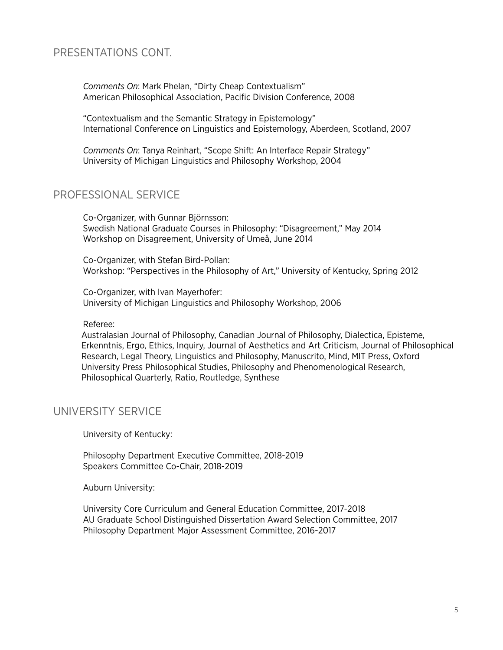## PRESENTATIONS CONT.

*Comments On*: Mark Phelan, "Dirty Cheap Contextualism" American Philosophical Association, Pacific Division Conference, 2008

 "Contextualism and the Semantic Strategy in Epistemology" International Conference on Linguistics and Epistemology, Aberdeen, Scotland, 2007

*Comments On*: Tanya Reinhart, "Scope Shift: An Interface Repair Strategy" University of Michigan Linguistics and Philosophy Workshop, 2004

## PROFESSIONAL SERVICE

 Co-Organizer, with Gunnar Björnsson: Swedish National Graduate Courses in Philosophy: "Disagreement," May 2014 Workshop on Disagreement, University of Umeå, June 2014

 Co-Organizer, with Stefan Bird-Pollan: Workshop: "Perspectives in the Philosophy of Art," University of Kentucky, Spring 2012

Co-Organizer, with Ivan Mayerhofer: University of Michigan Linguistics and Philosophy Workshop, 2006

Referee:

Australasian Journal of Philosophy, Canadian Journal of Philosophy, Dialectica, Episteme, Erkenntnis, Ergo, Ethics, Inquiry, Journal of Aesthetics and Art Criticism, Journal of Philosophical Research, Legal Theory, Linguistics and Philosophy, Manuscrito, Mind, MIT Press, Oxford University Press Philosophical Studies, Philosophy and Phenomenological Research, Philosophical Quarterly, Ratio, Routledge, Synthese

### UNIVERSITY SERVICE

University of Kentucky:

 Philosophy Department Executive Committee, 2018-2019 Speakers Committee Co-Chair, 2018-2019

Auburn University:

 University Core Curriculum and General Education Committee, 2017-2018 AU Graduate School Distinguished Dissertation Award Selection Committee, 2017 Philosophy Department Major Assessment Committee, 2016-2017